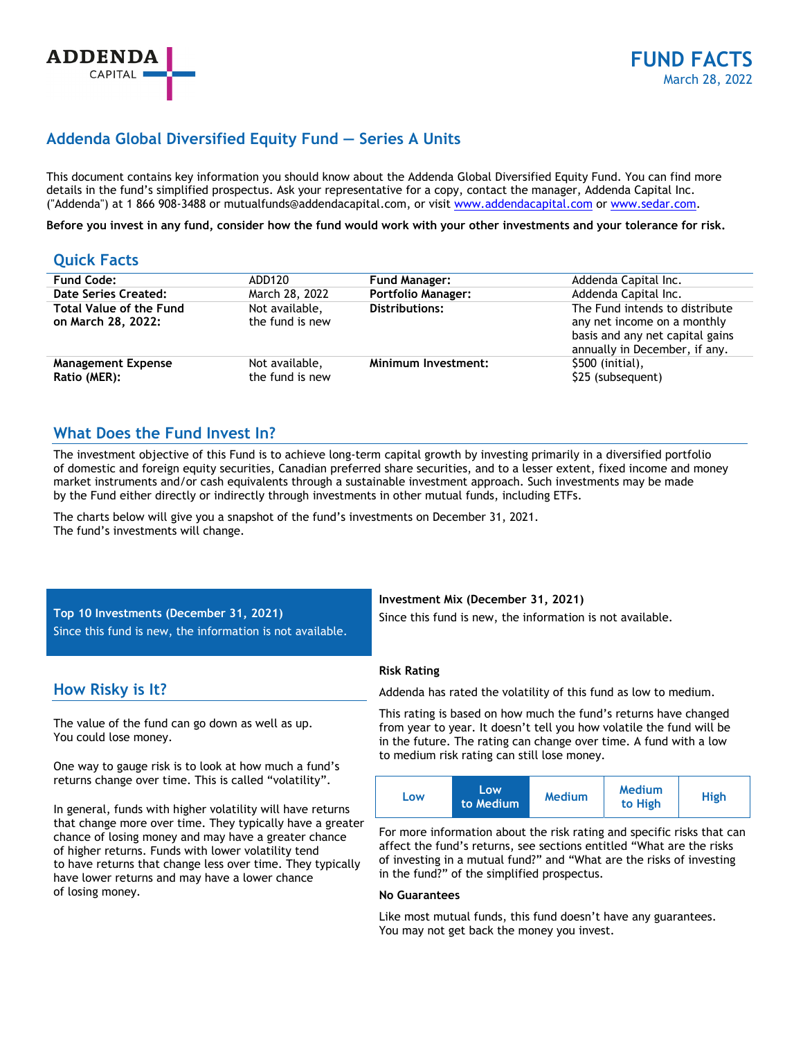# **Addenda Global Diversified Equity Fund — Series A Units**

This document contains key information you should know about the Addenda Global Diversified Equity Fund. You can find more details in the fund's simplified prospectus. Ask your representative for a copy, contact the manager, Addenda Capital Inc. ("Addenda") at 1 866 908-3488 or mutualfunds@addendacapital.com, or visit www.addendacapital.com or www.sedar.com.

**Before you invest in any fund, consider how the fund would work with your other investments and your tolerance for risk.** 

# **Quick Facts**

| <b>Fund Code:</b>                                    | ADD120                            | <b>Fund Manager:</b>      | Addenda Capital Inc.                                                                                                              |
|------------------------------------------------------|-----------------------------------|---------------------------|-----------------------------------------------------------------------------------------------------------------------------------|
| Date Series Created:                                 | March 28, 2022                    | <b>Portfolio Manager:</b> | Addenda Capital Inc.                                                                                                              |
| <b>Total Value of the Fund</b><br>on March 28, 2022: | Not available,<br>the fund is new | <b>Distributions:</b>     | The Fund intends to distribute<br>any net income on a monthly<br>basis and any net capital gains<br>annually in December, if any. |
| <b>Management Expense</b><br>Ratio (MER):            | Not available,<br>the fund is new | Minimum Investment:       | \$500 (initial),<br>\$25 (subsequent)                                                                                             |

# **What Does the Fund Invest In?**

The investment objective of this Fund is to achieve long-term capital growth by investing primarily in a diversified portfolio of domestic and foreign equity securities, Canadian preferred share securities, and to a lesser extent, fixed income and money market instruments and/or cash equivalents through a sustainable investment approach. Such investments may be made by the Fund either directly or indirectly through investments in other mutual funds, including ETFs.

The charts below will give you a snapshot of the fund's investments on December 31, 2021. The fund's investments will change.

**Top 10 Investments (December 31, 2021)**  Since this fund is new, the information is not available.

# **How Risky is It?**

The value of the fund can go down as well as up. You could lose money.

One way to gauge risk is to look at how much a fund's returns change over time. This is called "volatility".

In general, funds with higher volatility will have returns that change more over time. They typically have a greater chance of losing money and may have a greater chance of higher returns. Funds with lower volatility tend to have returns that change less over time. They typically have lower returns and may have a lower chance of losing money.

**Investment Mix (December 31, 2021)** 

Since this fund is new, the information is not available.

### **Risk Rating**

Addenda has rated the volatility of this fund as low to medium.

This rating is based on how much the fund's returns have changed from year to year. It doesn't tell you how volatile the fund will be in the future. The rating can change over time. A fund with a low to medium risk rating can still lose money.

| Low<br>LOW<br>to Medium | <b>Medium</b><br><b>Medium</b><br>to High | High |
|-------------------------|-------------------------------------------|------|
|-------------------------|-------------------------------------------|------|

For more information about the risk rating and specific risks that can affect the fund's returns, see sections entitled "What are the risks of investing in a mutual fund?" and "What are the risks of investing in the fund?" of the simplified prospectus.

### **No Guarantees**

Like most mutual funds, this fund doesn't have any guarantees. You may not get back the money you invest.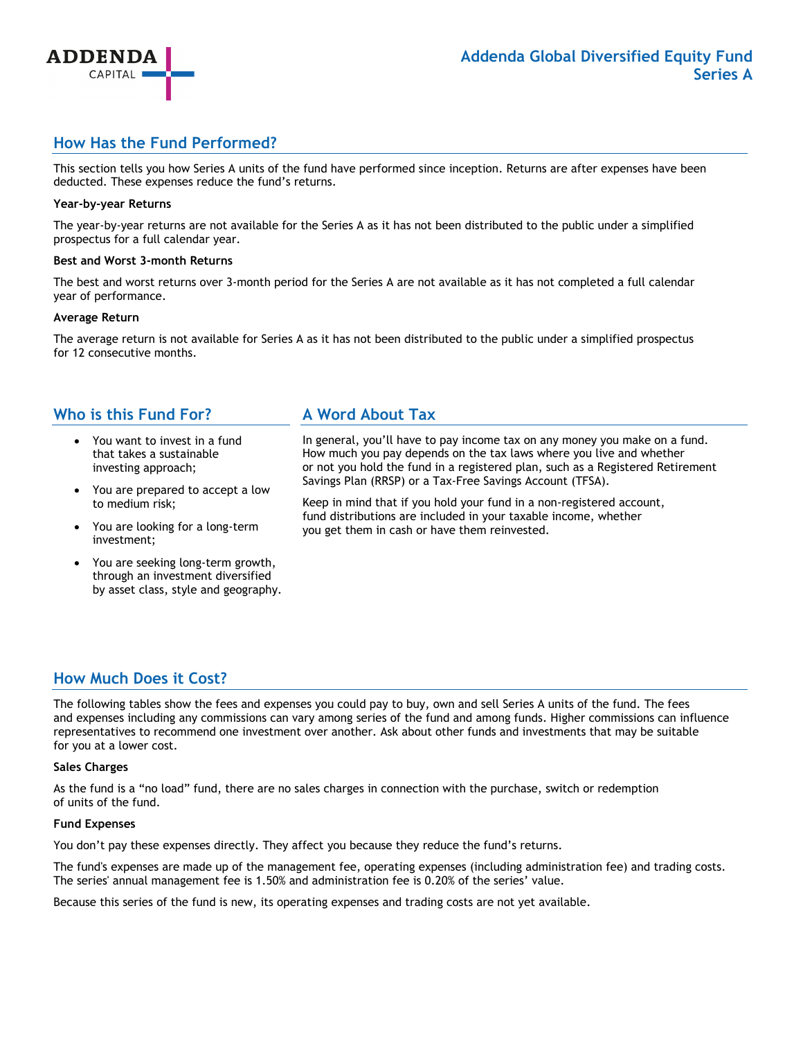

# **How Has the Fund Performed?**

This section tells you how Series A units of the fund have performed since inception. Returns are after expenses have been deducted. These expenses reduce the fund's returns.

#### **Year-by-year Returns**

**ADDENDA** CAPITAL

The year-by-year returns are not available for the Series A as it has not been distributed to the public under a simplified prospectus for a full calendar year.

#### **Best and Worst 3-month Returns**

The best and worst returns over 3-month period for the Series A are not available as it has not completed a full calendar year of performance.

#### **Average Return**

The average return is not available for Series A as it has not been distributed to the public under a simplified prospectus for 12 consecutive months.

## **Who is this Fund For?**

- You want to invest in a fund that takes a sustainable investing approach;
- You are prepared to accept a low to medium risk;
- You are looking for a long-term investment;
- You are seeking long-term growth, through an investment diversified by asset class, style and geography.

# **A Word About Tax**

In general, you'll have to pay income tax on any money you make on a fund. How much you pay depends on the tax laws where you live and whether or not you hold the fund in a registered plan, such as a Registered Retirement Savings Plan (RRSP) or a Tax-Free Savings Account (TFSA).

Keep in mind that if you hold your fund in a non-registered account, fund distributions are included in your taxable income, whether you get them in cash or have them reinvested.

# **How Much Does it Cost?**

The following tables show the fees and expenses you could pay to buy, own and sell Series A units of the fund. The fees and expenses including any commissions can vary among series of the fund and among funds. Higher commissions can influence representatives to recommend one investment over another. Ask about other funds and investments that may be suitable for you at a lower cost.

### **Sales Charges**

As the fund is a "no load" fund, there are no sales charges in connection with the purchase, switch or redemption of units of the fund.

#### **Fund Expenses**

You don't pay these expenses directly. They affect you because they reduce the fund's returns.

The fund's expenses are made up of the management fee, operating expenses (including administration fee) and trading costs. The series' annual management fee is 1.50% and administration fee is 0.20% of the series' value.

Because this series of the fund is new, its operating expenses and trading costs are not yet available.